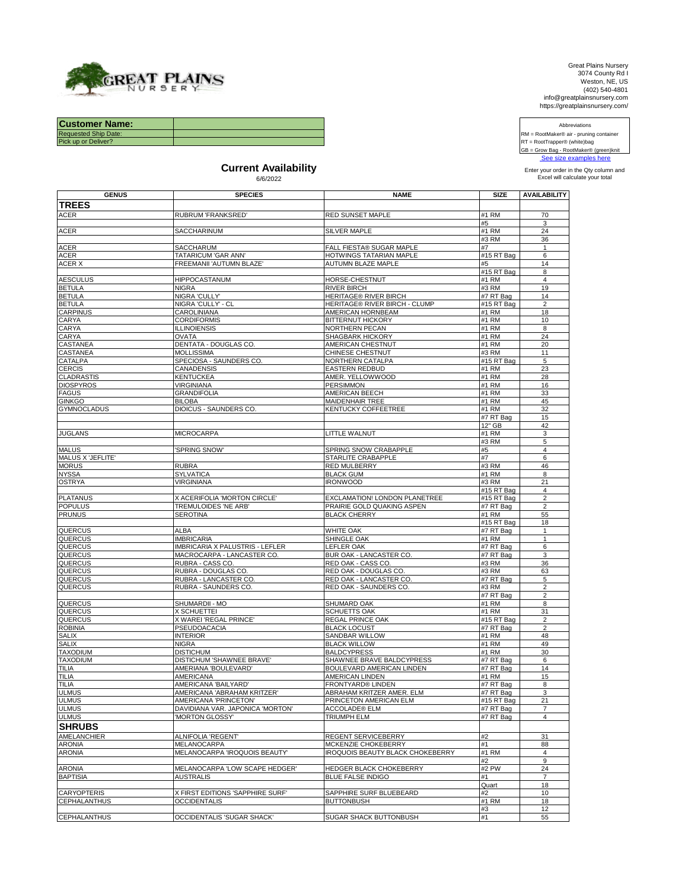

Great Plains Nursery 3074 County Rd I Weston, NE, US (402) 540-4801 info@greatplainsnursery.com https://greatplainsnursery.com/

Abbreviations

 [See size e](http://greatplainsnursery.com/nebraska-tree-nursery_/)xamples here RM = RootMaker® air - pruning container RT = RootTrapper® (white)bag GB = Grow Bag - RootMaker® (green)knit

| <b>Customer Name:</b>       |  |
|-----------------------------|--|
| <b>Requested Ship Date:</b> |  |
| Pick up or Deliver?         |  |
|                             |  |
|                             |  |

## **Current Availability**<br>
6/6/2022<br>
Enter your order in the Qty column and<br>
Excel will calculate your total

| <b>GENUS</b>                 | <b>SPECIES</b>                                      | <b>NAME</b>                                         | <b>SIZE</b>            | <b>AVAILABILITY</b> |
|------------------------------|-----------------------------------------------------|-----------------------------------------------------|------------------------|---------------------|
| <b>TREES</b>                 |                                                     |                                                     |                        |                     |
| <b>ACER</b>                  | RUBRUM 'FRANKSRED'                                  | RED SUNSET MAPLE                                    | #1 RM                  | 70                  |
|                              |                                                     |                                                     | #5                     | 3                   |
| <b>ACER</b>                  | SACCHARINUM                                         | SILVER MAPLE                                        | #1 RM                  | 24                  |
|                              |                                                     |                                                     | #3 RM                  | 36                  |
| <b>ACER</b><br><b>ACER</b>   | <b>SACCHARUM</b><br>TATARICUM 'GAR ANN'             | FALL FIESTA® SUGAR MAPLE<br>HOTWINGS TATARIAN MAPLE | #7<br>#15 RT Bag       | $\mathbf{1}$        |
| ACER X                       | FREEMANII 'AUTUMN BLAZE'                            | AUTUMN BLAZE MAPLE                                  | #5                     | 6<br>14             |
|                              |                                                     |                                                     | #15 RT Bag             | 8                   |
| <b>AESCULUS</b>              | <b>HIPPOCASTANUM</b>                                | HORSE-CHESTNUT                                      | #1 RM                  | $\overline{4}$      |
| <b>BETULA</b>                | <b>NIGRA</b>                                        | <b>RIVER BIRCH</b>                                  | #3 RM                  | 19                  |
| <b>BETULA</b>                | NIGRA 'CULLY'                                       | <b>HERITAGE® RIVER BIRCH</b>                        | #7 RT Bag              | 14                  |
| <b>BETULA</b>                | NIGRA 'CULLY' - CL                                  | <b>HERITAGE® RIVER BIRCH - CLUMP</b>                | #15 RT Bag             | $\overline{2}$      |
| <b>CARPINUS</b>              | CAROLINIANA                                         | <b>AMERICAN HORNBEAM</b>                            | #1 RM                  | 18                  |
| CARYA                        | <b>CORDIFORMIS</b>                                  | <b>BITTERNUT HICKORY</b>                            | #1 RM                  | 10                  |
| CARYA                        | <b>ILLINOIENSIS</b>                                 | NORTHERN PECAN                                      | #1 RM                  | 8                   |
| CARYA                        | <b>OVATA</b>                                        | SHAGBARK HICKORY                                    | #1 RM                  | 24                  |
| CASTANEA                     | DENTATA - DOUGLAS CO.                               | <b>AMERICAN CHESTNUT</b>                            | #1 RM                  | 20                  |
| <b>CASTANEA</b>              | <b>MOLLISSIMA</b>                                   | CHINESE CHESTNUT                                    | #3 RM                  | 11                  |
| CATALPA<br><b>CERCIS</b>     | SPECIOSA - SAUNDERS CO.<br>CANADENSIS               | NORTHERN CATALPA<br><b>EASTERN REDBUD</b>           | #15 RT Bag<br>#1 RM    | 5<br>23             |
| <b>CLADRASTIS</b>            | <b>KENTUCKEA</b>                                    | AMER. YELLOWWOOD                                    | #1 RM                  | 28                  |
| <b>DIOSPYROS</b>             | <b>VIRGINIANA</b>                                   | PERSIMMON                                           | #1 RM                  | 16                  |
| <b>FAGUS</b>                 | <b>GRANDIFOLIA</b>                                  | AMERICAN BEECH                                      | #1 RM                  | 33                  |
| <b>GINKGO</b>                | <b>BILOBA</b>                                       | <b>MAIDENHAIR TREE</b>                              | #1 RM                  | 45                  |
| <b>GYMNOCLADUS</b>           | DIOICUS - SAUNDERS CO.                              | KENTUCKY COFFEETREE                                 | #1 RM                  | 32                  |
|                              |                                                     |                                                     | #7 RT Bag              | 15                  |
|                              |                                                     |                                                     | 12" GB                 | 42                  |
| <b>JUGLANS</b>               | <b>MICROCARPA</b>                                   | LITTLE WALNUT                                       | #1 RM                  | 3                   |
|                              |                                                     |                                                     | #3 RM                  | 5                   |
| <b>MALUS</b>                 | 'SPRING SNOW'                                       | SPRING SNOW CRABAPPLE                               | #5                     | $\overline{4}$      |
| MALUS X 'JEFLITE'            |                                                     | STARLITE CRABAPPLE                                  | #7                     | 6                   |
| <b>MORUS</b><br><b>NYSSA</b> | <b>RUBRA</b><br><b>SYLVATICA</b>                    | RED MULBERRY<br><b>BLACK GUM</b>                    | #3 RM<br>#1 RM         | 46                  |
| <b>OSTRYA</b>                | <b>VIRGINIANA</b>                                   | <b>IRONWOOD</b>                                     | #3 RM                  | 8<br>21             |
|                              |                                                     |                                                     | #15 RT Bag             | 4                   |
| <b>PLATANUS</b>              | X ACERIFOLIA 'MORTON CIRCLE'                        | EXCLAMATION! LONDON PLANETREE                       | #15 RT Bag             | $\overline{2}$      |
| <b>POPULUS</b>               | TREMULOIDES 'NE ARB'                                | PRAIRIE GOLD QUAKING ASPEN                          | #7 RT Bag              | $\overline{2}$      |
| <b>PRUNUS</b>                | <b>SEROTINA</b>                                     | <b>BLACK CHERRY</b>                                 | #1 RM                  | 55                  |
|                              |                                                     |                                                     | #15 RT Bag             | 18                  |
| QUERCUS                      | <b>ALBA</b>                                         | WHITE OAK                                           | #7 RT Bag              | $\mathbf{1}$        |
| QUERCUS                      | <b>IMBRICARIA</b>                                   | SHINGLE OAK                                         | #1 RM                  | $\mathbf{1}$        |
| QUERCUS                      | IMBRICARIA X PALUSTRIS - LEFLER                     | LEFLER OAK                                          | #7 RT Bag              | 6                   |
| QUERCUS                      | MACROCARPA - LANCASTER CO.                          | BUR OAK - LANCASTER CO.                             | #7 RT Bag              | 3                   |
| QUERCUS                      | RUBRA - CASS CO.                                    | RED OAK - CASS CO.                                  | #3 RM                  | 36                  |
| QUERCUS<br>QUERCUS           | RUBRA - DOUGLAS CO.<br>RUBRA - LANCASTER CO.        | RED OAK - DOUGLAS CO.<br>RED OAK - LANCASTER CO.    | #3 RM<br>$#7 RT$ Bag   | 63<br>5             |
| QUERCUS                      | RUBRA - SAUNDERS CO.                                | RED OAK - SAUNDERS CO.                              | #3 RM                  | $\overline{2}$      |
|                              |                                                     |                                                     | #7 RT Bag              | $\overline{2}$      |
| QUERCUS                      | SHUMARDII - MO                                      | SHUMARD OAK                                         | #1 RM                  | 8                   |
| QUERCUS                      | X SCHUETTEI                                         | SCHUETTS OAK                                        | #1 RM                  | 31                  |
| QUERCUS                      | X WAREI 'REGAL PRINCE'                              | REGAL PRINCE OAK                                    | $#15 RT$ Bag           | $\overline{2}$      |
| <b>ROBINIA</b>               | PSEUDOACACIA                                        | <b>BLACK LOCUST</b>                                 | #7 RT Bag              | $\overline{2}$      |
| <b>SALIX</b>                 | <b>INTERIOR</b>                                     | SANDBAR WILLOW                                      | #1 RM                  | 48                  |
| <b>SALIX</b>                 | <b>NIGRA</b>                                        | <b>BLACK WILLOW</b>                                 | #1 RM                  | 49                  |
| <b>TAXODIUM</b>              | <b>DISTICHUM</b>                                    | <b>BALDCYPRESS</b>                                  | #1 RM                  | 30                  |
| <b>TAXODIUM</b>              | DISTICHUM 'SHAWNEE BRAVE'                           | SHAWNEE BRAVE BALDCYPRESS                           | $#7 RT$ Bag            | 6                   |
| <b>TILIA</b>                 | AMERIANA 'BOULEVARD'                                | BOULEVARD AMERICAN LINDEN                           | #7 RT Bag              | 14                  |
| <b>TILIA</b>                 | <b>AMERICANA</b>                                    | AMERICAN LINDEN                                     | #1 RM                  | 15                  |
| <b>TILIA</b><br><b>ULMUS</b> | AMERICANA 'BAILYARD'<br>AMERICANA 'ABRAHAM KRITZER' | FRONTYARD® LINDEN<br>ABRAHAM KRITZER AMER. ELM      | #7 RT Bag<br>#7 RT Bag | 8<br>3              |
| <b>ULMUS</b>                 | AMERICANA 'PRINCETON'                               | PRINCETON AMERICAN ELM                              | #15 RT Bag             | 21                  |
| <b>ULMUS</b>                 | DAVIDIANA VAR. JAPONICA 'MORTON'                    | <b>ACCOLADE® ELM</b>                                | #7 RT Bag              | $\overline{7}$      |
| <b>ULMUS</b>                 | 'MORTON GLOSSY'                                     | TRIUMPH ELM                                         | #7 RT Bag              | $\overline{4}$      |
| <b>SHRUBS</b>                |                                                     |                                                     |                        |                     |
| AMELANCHIER                  | ALNIFOLIA 'REGENT'                                  | REGENT SERVICEBERRY                                 | #2                     | 31                  |
| <b>ARONIA</b>                | MELANOCARPA                                         | MCKENZIE CHOKEBERRY                                 | #1                     | 88                  |
| <b>ARONIA</b>                | MELANOCARPA 'IROQUOIS BEAUTY'                       | IROQUOIS BEAUTY BLACK CHOKEBERRY                    | #1 RM                  | $\overline{4}$      |
|                              |                                                     |                                                     | #2                     | 9                   |
| <b>ARONIA</b>                | MELANOCARPA 'LOW SCAPE HEDGER'                      | HEDGER BLACK CHOKEBERRY                             | #2 PW                  | 24                  |
| <b>BAPTISIA</b>              | <b>AUSTRALIS</b>                                    | <b>BLUE FALSE INDIGO</b>                            | #1                     | $\overline{7}$      |
|                              |                                                     |                                                     | Quart                  | 18                  |
| <b>CARYOPTERIS</b>           | X FIRST EDITIONS 'SAPPHIRE SURF'                    | SAPPHIRE SURF BLUEBEARD                             | #2                     | 10                  |
| <b>CEPHALANTHUS</b>          | <b>OCCIDENTALIS</b>                                 | <b>BUTTONBUSH</b>                                   | #1 RM                  | 18                  |
|                              |                                                     |                                                     | #3                     | 12                  |
| <b>CEPHALANTHUS</b>          | OCCIDENTALIS 'SUGAR SHACK'                          | SUGAR SHACK BUTTONBUSH                              | #1                     | 55                  |